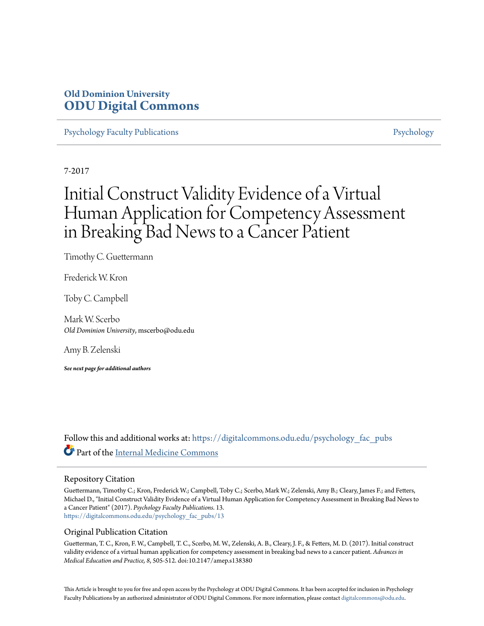# **Old Dominion University [ODU Digital Commons](https://digitalcommons.odu.edu?utm_source=digitalcommons.odu.edu%2Fpsychology_fac_pubs%2F13&utm_medium=PDF&utm_campaign=PDFCoverPages)**

[Psychology Faculty Publications](https://digitalcommons.odu.edu/psychology_fac_pubs?utm_source=digitalcommons.odu.edu%2Fpsychology_fac_pubs%2F13&utm_medium=PDF&utm_campaign=PDFCoverPages) **[Psychology](https://digitalcommons.odu.edu/psychology?utm_source=digitalcommons.odu.edu%2Fpsychology_fac_pubs%2F13&utm_medium=PDF&utm_campaign=PDFCoverPages)** Psychology

7-2017

# Initial Construct Validity Evidence of a Virtual Human Application for Competency Assessment in Breaking Bad News to a Cancer Patient

Timothy C. Guettermann

Frederick W. Kron

Toby C. Campbell

Mark W. Scerbo *Old Dominion University*, mscerbo@odu.edu

Amy B. Zelenski

*See next page for additional authors*

Follow this and additional works at: [https://digitalcommons.odu.edu/psychology\\_fac\\_pubs](https://digitalcommons.odu.edu/psychology_fac_pubs?utm_source=digitalcommons.odu.edu%2Fpsychology_fac_pubs%2F13&utm_medium=PDF&utm_campaign=PDFCoverPages) Part of the [Internal Medicine Commons](http://network.bepress.com/hgg/discipline/1356?utm_source=digitalcommons.odu.edu%2Fpsychology_fac_pubs%2F13&utm_medium=PDF&utm_campaign=PDFCoverPages)

#### Repository Citation

Guettermann, Timothy C.; Kron, Frederick W.; Campbell, Toby C.; Scerbo, Mark W.; Zelenski, Amy B.; Cleary, James F.; and Fetters, Michael D., "Initial Construct Validity Evidence of a Virtual Human Application for Competency Assessment in Breaking Bad News to a Cancer Patient" (2017). *Psychology Faculty Publications*. 13. [https://digitalcommons.odu.edu/psychology\\_fac\\_pubs/13](https://digitalcommons.odu.edu/psychology_fac_pubs/13?utm_source=digitalcommons.odu.edu%2Fpsychology_fac_pubs%2F13&utm_medium=PDF&utm_campaign=PDFCoverPages)

#### Original Publication Citation

Guetterman, T. C., Kron, F. W., Campbell, T. C., Scerbo, M. W., Zelenski, A. B., Cleary, J. F., & Fetters, M. D. (2017). Initial construct validity evidence of a virtual human application for competency assessment in breaking bad news to a cancer patient. *Advances in Medical Education and Practice, 8*, 505-512. doi:10.2147/amep.s138380

This Article is brought to you for free and open access by the Psychology at ODU Digital Commons. It has been accepted for inclusion in Psychology Faculty Publications by an authorized administrator of ODU Digital Commons. For more information, please contact [digitalcommons@odu.edu.](mailto:digitalcommons@odu.edu)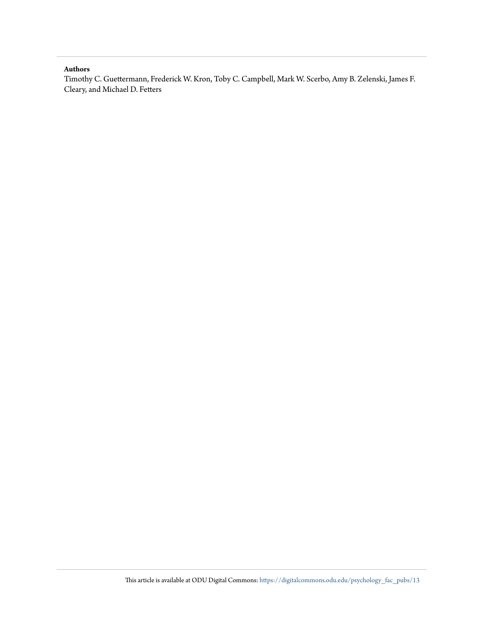#### **Authors**

Timothy C. Guettermann, Frederick W. Kron, Toby C. Campbell, Mark W. Scerbo, Amy B. Zelenski, James F. Cleary, and Michael D. Fetters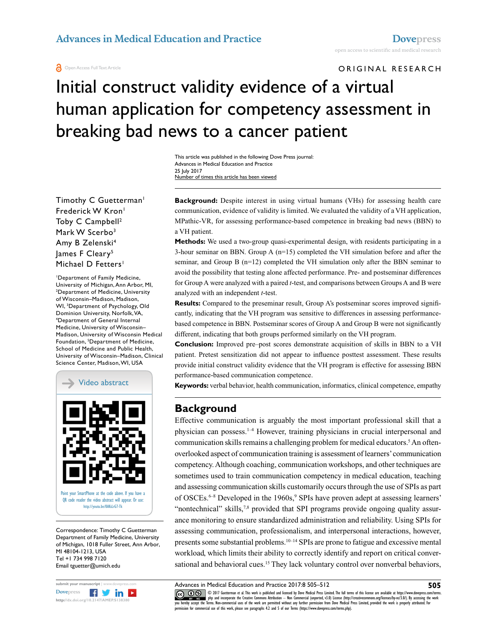#### **a** Open Access Full Text Article

ORIGINAL RESEARCH

# Initial construct validity evidence of a virtual human application for competency assessment in breaking bad news to a cancer patient

This article was published in the following Dove Press journal: Advances in Medical Education and Practice 25 July 2017 Number of times this article has been viewed

Timothy C Guetterman<sup>1</sup> Frederick W Kron<sup>1</sup> Toby C Campbell<sup>2</sup> Mark W Scerbo<sup>3</sup> Amy B Zelenski<sup>4</sup> James F Cleary<sup>5</sup> Michael D Fetters<sup>1</sup>

1 Department of Family Medicine, University of Michigan, Ann Arbor, MI, 2 Department of Medicine, University of Wisconsin–Madison, Madison, WI, 3 Department of Psychology, Old Dominion University, Norfolk, VA, 4 Department of General Internal Medicine, University of Wisconsin– Madison, University of Wisconsin Medical Foundation, <sup>5</sup>Department of Medicine, School of Medicine and Public Health, University of Wisconsin–Madison, Clinical Science Center, Madison, WI, USA



Correspondence: Timothy C Guetterman Department of Family Medicine, University of Michigan, 1018 Fuller Street, Ann Arbor, MI 48104-1213, USA Tel +1 734 998 7120 Email tguetter@umich.edu



**Background:** Despite interest in using virtual humans (VHs) for assessing health care communication, evidence of validity is limited. We evaluated the validity of a VH application, MPathic-VR, for assessing performance-based competence in breaking bad news (BBN) to a VH patient.

**Methods:** We used a two-group quasi-experimental design, with residents participating in a 3-hour seminar on BBN. Group A (n=15) completed the VH simulation before and after the seminar, and Group B  $(n=12)$  completed the VH simulation only after the BBN seminar to avoid the possibility that testing alone affected performance. Pre- and postseminar differences for Group A were analyzed with a paired *t*-test, and comparisons between Groups A and B were analyzed with an independent *t*-test.

**Results:** Compared to the preseminar result, Group A's postseminar scores improved significantly, indicating that the VH program was sensitive to differences in assessing performancebased competence in BBN. Postseminar scores of Group A and Group B were not significantly different, indicating that both groups performed similarly on the VH program.

**Conclusion:** Improved pre–post scores demonstrate acquisition of skills in BBN to a VH patient. Pretest sensitization did not appear to influence posttest assessment. These results provide initial construct validity evidence that the VH program is effective for assessing BBN performance-based communication competence.

**Keywords:** verbal behavior, health communication, informatics, clinical competence, empathy

## **Background**

Effective communication is arguably the most important professional skill that a physician can possess.1–4 However, training physicians in crucial interpersonal and communication skills remains a challenging problem for medical educators.<sup>5</sup> An oftenoverlooked aspect of communication training is assessment of learners' communication competency. Although coaching, communication workshops, and other techniques are sometimes used to train communication competency in medical education, teaching and assessing communication skills customarily occurs through the use of SPIs as part of OSCEs.<sup>6-8</sup> Developed in the 1960s,<sup>9</sup> SPIs have proven adept at assessing learners' "nontechnical" skills,<sup>7,8</sup> provided that SPI programs provide ongoing quality assurance monitoring to ensure standardized administration and reliability. Using SPIs for assessing communication, professionalism, and interpersonal interactions, however, presents some substantial problems.10–14 SPIs are prone to fatigue and excessive mental workload, which limits their ability to correctly identify and report on critical conversational and behavioral cues.<sup>15</sup> They lack voluntary control over nonverbal behaviors,

Advances in Medical Education and Practice 2017:8 505–512

**505**

CCO COS © 2017 Guetterman et al. This work is published and licensed by Dove Medical Press Limited. The full terms of this license are available at https://www.dovepress.com/terms. www.com php and incorporate the Creative Commons Attribution — Non Commercial (unported, v3.0) License (http://creativecommons.org/licenses/by-nc/3.0/). By accessing the work<br>[you hereby accept the T](http://www.dovepress.com/permissions.php)erms. Non-commercial use permission for commercial use of this work, please see paragraphs 4.2 and 5 of our Terms (https://www.dovepress.com/terms.php).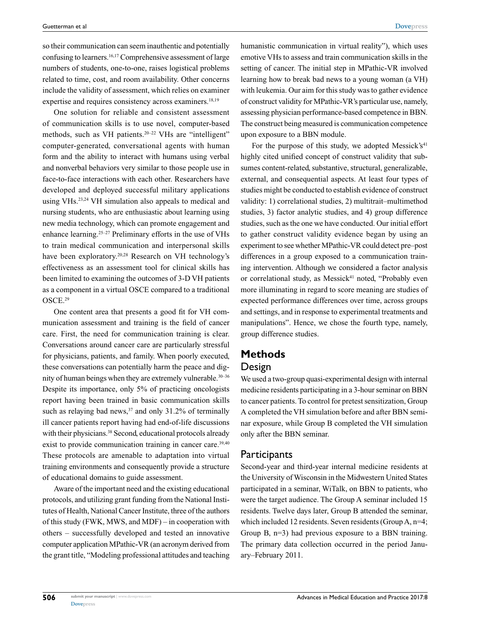so their communication can seem inauthentic and potentially confusing to learners.16,17 Comprehensive assessment of large numbers of students, one-to-one, raises logistical problems related to time, cost, and room availability. Other concerns include the validity of assessment, which relies on examiner expertise and requires consistency across examiners.<sup>18,19</sup>

One solution for reliable and consistent assessment of communication skills is to use novel, computer-based methods, such as VH patients.<sup>20-22</sup> VHs are "intelligent" computer-generated, conversational agents with human form and the ability to interact with humans using verbal and nonverbal behaviors very similar to those people use in face-to-face interactions with each other. Researchers have developed and deployed successful military applications using VHs.23,24 VH simulation also appeals to medical and nursing students, who are enthusiastic about learning using new media technology, which can promote engagement and enhance learning.<sup>25-27</sup> Preliminary efforts in the use of VHs to train medical communication and interpersonal skills have been exploratory.<sup>20,28</sup> Research on VH technology's effectiveness as an assessment tool for clinical skills has been limited to examining the outcomes of 3-D VH patients as a component in a virtual OSCE compared to a traditional OSCE.29

One content area that presents a good fit for VH communication assessment and training is the field of cancer care. First, the need for communication training is clear. Conversations around cancer care are particularly stressful for physicians, patients, and family. When poorly executed, these conversations can potentially harm the peace and dignity of human beings when they are extremely vulnerable.<sup>30-36</sup> Despite its importance, only 5% of practicing oncologists report having been trained in basic communication skills such as relaying bad news, $37$  and only 31.2% of terminally ill cancer patients report having had end-of-life discussions with their physicians.<sup>38</sup> Second, educational protocols already exist to provide communication training in cancer care. $39,40$ These protocols are amenable to adaptation into virtual training environments and consequently provide a structure of educational domains to guide assessment.

Aware of the important need and the existing educational protocols, and utilizing grant funding from the National Institutes of Health, National Cancer Institute, three of the authors of this study (FWK, MWS, and MDF) – in cooperation with others – successfully developed and tested an innovative computer application MPathic-VR (an acronym derived from the grant title, "Modeling professional attitudes and teaching humanistic communication in virtual reality"), which uses emotive VHs to assess and train communication skills in the setting of cancer. The initial step in MPathic-VR involved learning how to break bad news to a young woman (a VH) with leukemia. Our aim for this study was to gather evidence of construct validity for MPathic-VR's particular use, namely, assessing physician performance-based competence in BBN. The construct being measured is communication competence upon exposure to a BBN module.

For the purpose of this study, we adopted Messick's<sup>41</sup> highly cited unified concept of construct validity that subsumes content-related, substantive, structural, generalizable, external, and consequential aspects. At least four types of studies might be conducted to establish evidence of construct validity: 1) correlational studies, 2) multitrait–multimethod studies, 3) factor analytic studies, and 4) group difference studies, such as the one we have conducted. Our initial effort to gather construct validity evidence began by using an experiment to see whether MPathic-VR could detect pre–post differences in a group exposed to a communication training intervention. Although we considered a factor analysis or correlational study, as Messick<sup>41</sup> noted, "Probably even more illuminating in regard to score meaning are studies of expected performance differences over time, across groups and settings, and in response to experimental treatments and manipulations". Hence, we chose the fourth type, namely, group difference studies.

## **Methods** Design

We used a two-group quasi-experimental design with internal medicine residents participating in a 3-hour seminar on BBN to cancer patients. To control for pretest sensitization, Group A completed the VH simulation before and after BBN seminar exposure, while Group B completed the VH simulation only after the BBN seminar.

## Participants

Second-year and third-year internal medicine residents at the University of Wisconsin in the Midwestern United States participated in a seminar, WiTalk, on BBN to patients, who were the target audience. The Group A seminar included 15 residents. Twelve days later, Group B attended the seminar, which included 12 residents. Seven residents (Group A, n=4; Group B, n=3) had previous exposure to a BBN training. The primary data collection occurred in the period January–February 2011.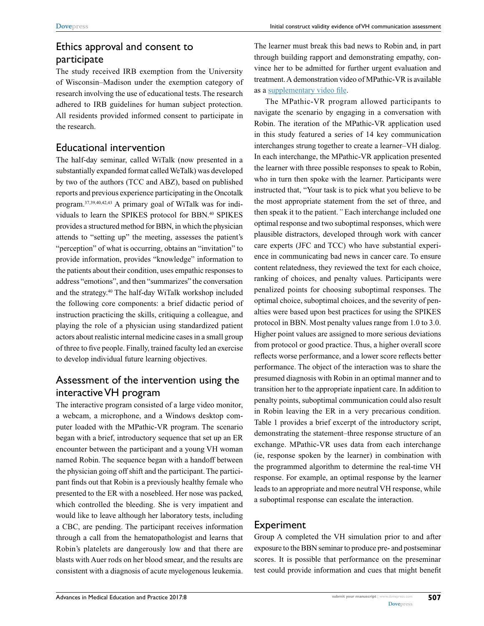## Ethics approval and consent to participate

The study received IRB exemption from the University of Wisconsin–Madison under the exemption category of research involving the use of educational tests. The research adhered to IRB guidelines for human subject protection. All residents provided informed consent to participate in the research.

## Educational intervention

The half-day seminar, called WiTalk (now presented in a substantially expanded format called WeTalk) was developed by two of the authors (TCC and ABZ), based on published reports and previous experience participating in the Oncotalk program.37,39,40,42,43 A primary goal of WiTalk was for individuals to learn the SPIKES protocol for BBN.40 SPIKES provides a structured method for BBN, in which the physician attends to "setting up" the meeting, assesses the patient's "perception" of what is occurring, obtains an "invitation" to provide information, provides "knowledge" information to the patients about their condition, uses empathic responses to address "emotions", and then "summarizes" the conversation and the strategy.40 The half-day WiTalk workshop included the following core components: a brief didactic period of instruction practicing the skills, critiquing a colleague, and playing the role of a physician using standardized patient actors about realistic internal medicine cases in a small group of three to five people. Finally, trained faculty led an exercise to develop individual future learning objectives.

# Assessment of the intervention using the interactive VH program

The interactive program consisted of a large video monitor, a webcam, a microphone, and a Windows desktop computer loaded with the MPathic-VR program. The scenario began with a brief, introductory sequence that set up an ER encounter between the participant and a young VH woman named Robin. The sequence began with a handoff between the physician going off shift and the participant. The participant finds out that Robin is a previously healthy female who presented to the ER with a nosebleed. Her nose was packed, which controlled the bleeding. She is very impatient and would like to leave although her laboratory tests, including a CBC, are pending. The participant receives information through a call from the hematopathologist and learns that Robin's platelets are dangerously low and that there are blasts with Auer rods on her blood smear, and the results are consistent with a diagnosis of acute myelogenous leukemia.

The learner must break this bad news to Robin and, in part through building rapport and demonstrating empathy, convince her to be admitted for further urgent evaluation and treatment. A demonstration video of MPathic-VR is available as a [supplementary video file](http://youtu.be/uLt46_d5Qxw).

The MPathic-VR program allowed participants to navigate the scenario by engaging in a conversation with Robin. The iteration of the MPathic-VR application used in this study featured a series of 14 key communication interchanges strung together to create a learner–VH dialog. In each interchange, the MPathic-VR application presented the learner with three possible responses to speak to Robin, who in turn then spoke with the learner. Participants were instructed that, "Your task is to pick what you believe to be the most appropriate statement from the set of three, and then speak it to the patient.*"* Each interchange included one optimal response and two suboptimal responses, which were plausible distractors, developed through work with cancer care experts (JFC and TCC) who have substantial experience in communicating bad news in cancer care. To ensure content relatedness, they reviewed the text for each choice, ranking of choices, and penalty values. Participants were penalized points for choosing suboptimal responses. The optimal choice, suboptimal choices, and the severity of penalties were based upon best practices for using the SPIKES protocol in BBN. Most penalty values range from 1.0 to 3.0. Higher point values are assigned to more serious deviations from protocol or good practice. Thus, a higher overall score reflects worse performance, and a lower score reflects better performance. The object of the interaction was to share the presumed diagnosis with Robin in an optimal manner and to transition her to the appropriate inpatient care. In addition to penalty points, suboptimal communication could also result in Robin leaving the ER in a very precarious condition. Table 1 provides a brief excerpt of the introductory script, demonstrating the statement–three response structure of an exchange. MPathic-VR uses data from each interchange (ie, response spoken by the learner) in combination with the programmed algorithm to determine the real-time VH response. For example, an optimal response by the learner leads to an appropriate and more neutral VH response, while a suboptimal response can escalate the interaction.

## Experiment

Group A completed the VH simulation prior to and after exposure to the BBN seminar to produce pre- and postseminar scores. It is possible that performance on the preseminar test could provide information and cues that might benefit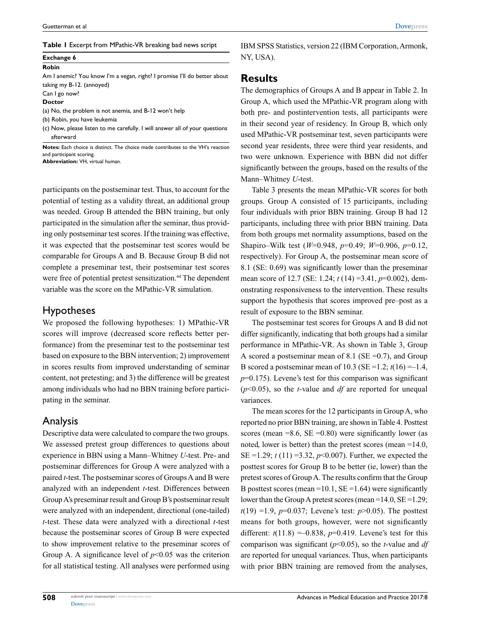#### **Table 1** Excerpt from MPathic-VR breaking bad news script

#### **Exchange 6**

**Robin**

Am I anemic? You know I'm a vegan, right? I promise I'll do better about taking my B-12. (annoyed)

### Can I go now?

**Doctor** 

(a) No, the problem is not anemia, and B-12 won't help

(b) Robin, you have leukemia

(c) Now, please listen to me carefully. I will answer all of your questions afterward

**Notes:** Each choice is distinct. The choice made contributes to the VH's reaction and participant scoring.

**Abbreviation:** VH, virtual human.

participants on the postseminar test. Thus, to account for the potential of testing as a validity threat, an additional group was needed. Group B attended the BBN training, but only participated in the simulation after the seminar, thus providing only postseminar test scores. If the training was effective, it was expected that the postseminar test scores would be comparable for Groups A and B. Because Group B did not complete a preseminar test, their postseminar test scores were free of potential pretest sensitization.<sup>44</sup> The dependent variable was the score on the MPathic-VR simulation.

#### Hypotheses

We proposed the following hypotheses: 1) MPathic-VR scores will improve (decreased score reflects better performance) from the preseminar test to the postseminar test based on exposure to the BBN intervention; 2) improvement in scores results from improved understanding of seminar content, not pretesting; and 3) the difference will be greatest among individuals who had no BBN training before participating in the seminar.

## Analysis

Descriptive data were calculated to compare the two groups. We assessed pretest group differences to questions about experience in BBN using a Mann–Whitney *U*-test. Pre- and postseminar differences for Group A were analyzed with a paired *t*-test. The postseminar scores of Groups A and B were analyzed with an independent *t*-test. Differences between Group A's preseminar result and Group B's postseminar result were analyzed with an independent, directional (one-tailed) *t*-test. These data were analyzed with a directional *t*-test because the postseminar scores of Group B were expected to show improvement relative to the preseminar scores of Group A. A significance level of  $p<0.05$  was the criterion for all statistical testing. All analyses were performed using

IBM SPSS Statistics, version 22 (IBM Corporation, Armonk, NY, USA).

#### **Results**

The demographics of Groups A and B appear in Table 2. In Group A, which used the MPathic-VR program along with both pre- and postintervention tests, all participants were in their second year of residency. In Group B, which only used MPathic-VR postseminar test, seven participants were second year residents, three were third year residents, and two were unknown. Experience with BBN did not differ significantly between the groups, based on the results of the Mann–Whitney *U*-test.

Table 3 presents the mean MPathic-VR scores for both groups. Group A consisted of 15 participants, including four individuals with prior BBN training. Group B had 12 participants, including three with prior BBN training. Data from both groups met normality assumptions, based on the Shapiro–Wilk test (*W*=0.948, *p*=0.49; *W*=0.906, *p*=0.12, respectively). For Group A, the postseminar mean score of 8.1 (SE: 0.69) was significantly lower than the preseminar mean score of 12.7 (SE: 1.24; *t* (14) =3.41, *p*=0.002), demonstrating responsiveness to the intervention. These results support the hypothesis that scores improved pre–post as a result of exposure to the BBN seminar.

The postseminar test scores for Groups A and B did not differ significantly, indicating that both groups had a similar performance in MPathic-VR. As shown in Table 3, Group A scored a postseminar mean of 8.1 (SE = 0.7), and Group B scored a postseminar mean of 10.3 (SE =1.2; *t*(16) =–1.4,  $p=0.175$ ). Levene's test for this comparison was significant (*p*<0.05), so the *t-*value and *df* are reported for unequal variances.

The mean scores for the 12 participants in Group A, who reported no prior BBN training, are shown in Table 4. Posttest scores (mean  $=8.6$ , SE  $=0.80$ ) were significantly lower (as noted, lower is better) than the pretest scores (mean =14.0, SE =1.29; *t* (11) =3.32, *p*<0.007). Further, we expected the posttest scores for Group B to be better (ie, lower) than the pretest scores of Group A. The results confirm that the Group B posttest scores (mean =10.1,  $SE = 1.64$ ) were significantly lower than the Group A pretest scores (mean =14.0, SE =1.29;  $t(19) = 1.9, p=0.037$ ; Levene's test:  $p>0.05$ ). The posttest means for both groups, however, were not significantly different:  $t(11.8) = -0.838$ ,  $p=0.419$ . Levene's test for this comparison was significant (*p*<0.05), so the *t*-value and *df* are reported for unequal variances. Thus, when participants with prior BBN training are removed from the analyses,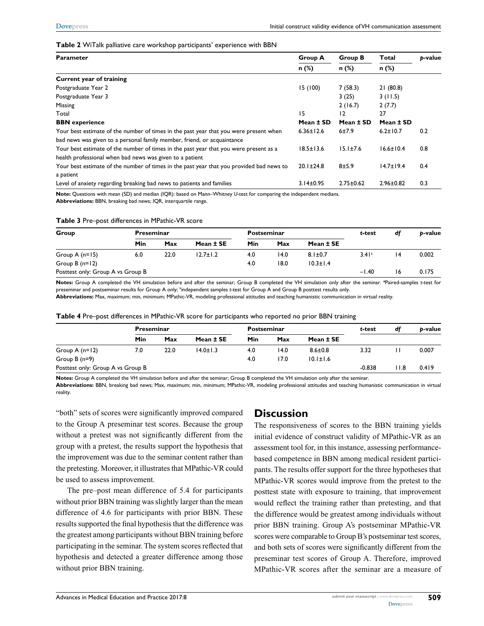#### **Table 2** WiTalk palliative care workshop participants' experience with BBN

| <b>Parameter</b>                                                                         | <b>Group A</b>  | <b>Group B</b>  | Total           | <i>b</i> -value |
|------------------------------------------------------------------------------------------|-----------------|-----------------|-----------------|-----------------|
|                                                                                          | $n$ (%)         | $n$ (%)         | n (%)           |                 |
| <b>Current year of training</b>                                                          |                 |                 |                 |                 |
| Postgraduate Year 2                                                                      | 15(100)         | 7(58.3)         | 21(80.8)        |                 |
| Postgraduate Year 3                                                                      |                 | 3(25)           | 3(11.5)         |                 |
| Missing                                                                                  |                 | 2(16.7)         | 2(7.7)          |                 |
| Total                                                                                    | 15              | 12              | 27              |                 |
| <b>BBN</b> experience                                                                    | Mean ± SD       | Mean ± SD       | Mean ± SD       |                 |
| Your best estimate of the number of times in the past year that you were present when    | $6.36 \pm 12.6$ | $6 + 7.9$       | $6.2 \pm 10.7$  | 0.2             |
| bad news was given to a personal family member, friend, or acquaintance                  |                 |                 |                 |                 |
| Your best estimate of the number of times in the past year that you were present as a    | $18.5 \pm 13.6$ | $15.1 \pm 7.6$  | $16.6 \pm 10.4$ | 0.8             |
| health professional when bad news was given to a patient                                 |                 |                 |                 |                 |
| Your best estimate of the number of times in the past year that you provided bad news to | $20.1 \pm 24.8$ | $8 + 5.9$       | $14.7 \pm 19.4$ | 0.4             |
| a patient                                                                                |                 |                 |                 |                 |
| Level of anxiety regarding breaking bad news to patients and families                    | $3.14 \pm 0.95$ | $2.75 \pm 0.62$ | $2.96 \pm 0.82$ | 0.3             |

**Note:** Questions with mean (SD) and median (IQR): based on Mann–Whitney *U*-test for comparing the independent medians. **Abbreviations:** BBN, breaking bad news; IQR, interquartile range.

**Table 3** Pre–post differences in MPathic-VR score

| Group                             | <b>Preseminar</b> |      |           | Postseminar |      |                | t-test  | df | b-value |
|-----------------------------------|-------------------|------|-----------|-------------|------|----------------|---------|----|---------|
|                                   | Min               | Max  | Mean ± SE | Min         | Max  | Mean ± SE      |         |    |         |
| Group $A(n=15)$                   | 6.0               | 22.0 | 12.7±1.2  | 4.0         | 14.0 | $8.1 \pm 0.7$  | 3.41a   | 14 | 0.002   |
| Group $B(n=12)$                   |                   |      |           | 4.0         | 18.0 | $10.3 \pm 1.4$ |         |    |         |
| Posttest only: Group A vs Group B |                   |      |           |             |      |                | $-1.40$ | 16 | 0.175   |

**Notes:** Group A completed the VH simulation before and after the seminar; Group B completed the VH simulation only after the seminar. **<sup>a</sup>** Paired-samples *t*-test for preseminar and postseminar results for Group A only; <sup>b</sup>independent samples *t*-test for Group A and Group B posttest results only.

**Abbreviations:** Max, maximum; min, minimum; MPathic-VR, modeling professional attitudes and teaching humanistic communication in virtual reality.

| Table 4 Pre-post differences in MPathic-VR score for participants who reported no prior BBN training |  |  |  |  |  |
|------------------------------------------------------------------------------------------------------|--|--|--|--|--|
|------------------------------------------------------------------------------------------------------|--|--|--|--|--|

|                                   | <b>Preseminar</b> |      | <b>Postseminar</b> |          |      | t-test         | df   | b-value |       |
|-----------------------------------|-------------------|------|--------------------|----------|------|----------------|------|---------|-------|
|                                   | Min               | Max  | Mean ± SE          | Min      | Max  | Mean ± SE      |      |         |       |
| Group $A(n=12)$                   | 7.0               | 22.0 | $14.0 \pm 1.3$     | 4.0      | 14.0 | $8.6 \pm 0.8$  | 3.32 |         | 0.007 |
| $Group B(n=9)$                    |                   |      |                    | 4.0      | 17.0 | $10.1 \pm 1.6$ |      |         |       |
| Posttest only: Group A vs Group B |                   |      |                    | $-0.838$ | 11.8 | 0.419          |      |         |       |

**Notes:** Group A completed the VH simulation before and after the seminar; Group B completed the VH simulation only after the seminar.

**Abbreviations:** BBN, breaking bad news; Max, maximum; min, minimum; MPathic-VR, modeling professional attitudes and teaching humanistic communication in virtual reality.

"both" sets of scores were significantly improved compared to the Group A preseminar test scores. Because the group without a pretest was not significantly different from the group with a pretest, the results support the hypothesis that the improvement was due to the seminar content rather than the pretesting. Moreover, it illustrates that MPathic-VR could be used to assess improvement.

The pre–post mean difference of 5.4 for participants without prior BBN training was slightly larger than the mean difference of 4.6 for participants with prior BBN. These results supported the final hypothesis that the difference was the greatest among participants without BBN training before participating in the seminar. The system scores reflected that hypothesis and detected a greater difference among those without prior BBN training.

## **Discussion**

The responsiveness of scores to the BBN training yields initial evidence of construct validity of MPathic-VR as an assessment tool for, in this instance, assessing performancebased competence in BBN among medical resident participants. The results offer support for the three hypotheses that MPathic-VR scores would improve from the pretest to the posttest state with exposure to training, that improvement would reflect the training rather than pretesting, and that the difference would be greatest among individuals without prior BBN training. Group A's postseminar MPathic-VR scores were comparable to Group B's postseminar test scores, and both sets of scores were significantly different from the preseminar test scores of Group A. Therefore, improved MPathic-VR scores after the seminar are a measure of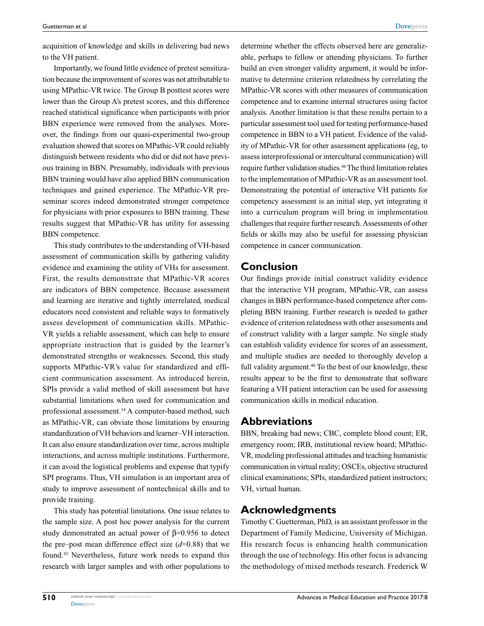acquisition of knowledge and skills in delivering bad news to the VH patient.

Importantly, we found little evidence of pretest sensitization because the improvement of scores was not attributable to using MPathic-VR twice. The Group B posttest scores were lower than the Group A's pretest scores, and this difference reached statistical significance when participants with prior BBN experience were removed from the analyses. Moreover, the findings from our quasi-experimental two-group evaluation showed that scores on MPathic-VR could reliably distinguish between residents who did or did not have previous training in BBN. Presumably, individuals with previous BBN training would have also applied BBN communication techniques and gained experience. The MPathic-VR preseminar scores indeed demonstrated stronger competence for physicians with prior exposures to BBN training. These results suggest that MPathic-VR has utility for assessing BBN competence.

This study contributes to the understanding of VH-based assessment of communication skills by gathering validity evidence and examining the utility of VHs for assessment. First, the results demonstrate that MPathic-VR scores are indicators of BBN competence. Because assessment and learning are iterative and tightly interrelated, medical educators need consistent and reliable ways to formatively assess development of communication skills. MPathic-VR yields a reliable assessment, which can help to ensure appropriate instruction that is guided by the learner's demonstrated strengths or weaknesses. Second, this study supports MPathic-VR's value for standardized and efficient communication assessment. As introduced herein, SPIs provide a valid method of skill assessment but have substantial limitations when used for communication and professional assessment.14 A computer-based method, such as MPathic-VR, can obviate those limitations by ensuring standardization of VH behaviors and learner–VH interaction. It can also ensure standardization over time, across multiple interactions, and across multiple institutions. Furthermore, it can avoid the logistical problems and expense that typify SPI programs. Thus, VH simulation is an important area of study to improve assessment of nontechnical skills and to provide training.

This study has potential limitations. One issue relates to the sample size. A post hoc power analysis for the current study demonstrated an actual power of  $\beta$ =0.956 to detect the pre–post mean difference effect size  $(d=0.88)$  that we found.45 Nevertheless, future work needs to expand this research with larger samples and with other populations to determine whether the effects observed here are generalizable, perhaps to fellow or attending physicians. To further build an even stronger validity argument, it would be informative to determine criterion relatedness by correlating the MPathic-VR scores with other measures of communication competence and to examine internal structures using factor analysis. Another limitation is that these results pertain to a particular assessment tool used for testing performance-based competence in BBN to a VH patient. Evidence of the validity of MPathic-VR for other assessment applications (eg, to assess interprofessional or intercultural communication) will require further validation studies.46 The third limitation relates to the implementation of MPathic-VR as an assessment tool. Demonstrating the potential of interactive VH patients for competency assessment is an initial step, yet integrating it into a curriculum program will bring in implementation challenges that require further research. Assessments of other fields or skills may also be useful for assessing physician competence in cancer communication.

## **Conclusion**

Our findings provide initial construct validity evidence that the interactive VH program, MPathic-VR, can assess changes in BBN performance-based competence after completing BBN training. Further research is needed to gather evidence of criterion relatedness with other assessments and of construct validity with a larger sample. No single study can establish validity evidence for scores of an assessment, and multiple studies are needed to thoroughly develop a full validity argument.<sup>46</sup> To the best of our knowledge, these results appear to be the first to demonstrate that software featuring a VH patient interaction can be used for assessing communication skills in medical education.

## **Abbreviations**

BBN, breaking bad news; CBC, complete blood count; ER, emergency room; IRB, institutional review board; MPathic-VR, modeling professional attitudes and teaching humanistic communication in virtual reality; OSCEs, objective structured clinical examinations; SPIs, standardized patient instructors; VH, virtual human.

## **Acknowledgments**

Timothy C Guetterman, PhD, is an assistant professor in the Department of Family Medicine, University of Michigan. His research focus is enhancing health communication through the use of technology. His other focus is advancing the methodology of mixed methods research. Frederick W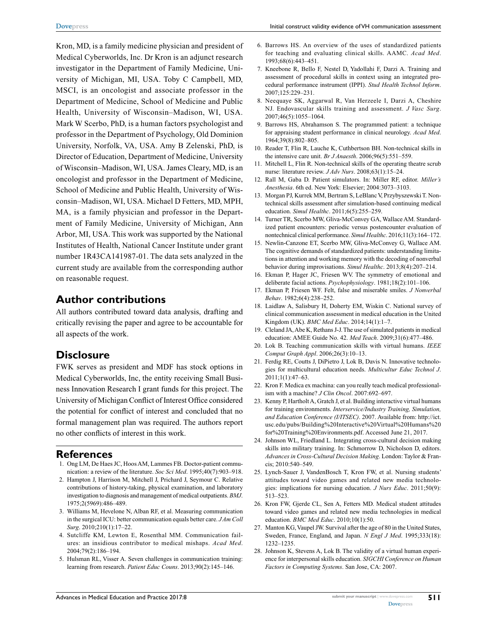Kron, MD, is a family medicine physician and president of Medical Cyberworlds, Inc. Dr Kron is an adjunct research investigator in the Department of Family Medicine, University of Michigan, MI, USA. Toby C Campbell, MD, MSCI, is an oncologist and associate professor in the Department of Medicine, School of Medicine and Public Health, University of Wisconsin–Madison, WI, USA. Mark W Scerbo, PhD, is a human factors psychologist and professor in the Department of Psychology, Old Dominion University, Norfolk, VA, USA. Amy B Zelenski, PhD, is Director of Education, Department of Medicine, University of Wisconsin–Madison, WI, USA. James Cleary, MD, is an oncologist and professor in the Department of Medicine, School of Medicine and Public Health, University of Wisconsin–Madison, WI, USA. Michael D Fetters, MD, MPH, MA, is a family physician and professor in the Department of Family Medicine, University of Michigan, Ann Arbor, MI, USA. This work was supported by the National Institutes of Health, National Cancer Institute under grant number 1R43CA141987-01. The data sets analyzed in the current study are available from the corresponding author on reasonable request.

## **Author contributions**

All authors contributed toward data analysis, drafting and critically revising the paper and agree to be accountable for all aspects of the work.

## **Disclosure**

FWK serves as president and MDF has stock options in Medical Cyberworlds, Inc, the entity receiving Small Business Innovation Research I grant funds for this project. The University of Michigan Conflict of Interest Office considered the potential for conflict of interest and concluded that no formal management plan was required. The authors report no other conflicts of interest in this work.

## **References**

- 1. Ong LM, De Haes JC, Hoos AM, Lammes FB. Doctor-patient communication: a review of the literature. *Soc Sci Med*. 1995;40(7):903–918.
- 2. Hampton J, Harrison M, Mitchell J, Prichard J, Seymour C. Relative contributions of history-taking, physical examination, and laboratory investigation to diagnosis and management of medical outpatients. *BMJ*. 1975;2(5969):486–489.
- 3. Williams M, Hevelone N, Alban RF, et al. Measuring communication in the surgical ICU: better communication equals better care. *J Am Coll Surg*. 2010;210(1):17–22.
- 4. Sutcliffe KM, Lewton E, Rosenthal MM. Communication failures: an insidious contributor to medical mishaps. *Acad Med*. 2004;79(2):186–194.
- 5. Hulsman RL, Visser A. Seven challenges in communication training: learning from research. *Patient Educ Couns*. 2013;90(2):145–146.
- 6. Barrows HS. An overview of the uses of standardized patients for teaching and evaluating clinical skills. AAMC. *Acad Med*. 1993;68(6):443–451.
- 7. Kneebone R, Bello F, Nestel D, Yadollahi F, Darzi A. Training and assessment of procedural skills in context using an integrated procedural performance instrument (IPPI). *Stud Health Technol Inform*. 2007;125:229–231.
- 8. Neequaye SK, Aggarwal R, Van Herzeele I, Darzi A, Cheshire NJ. Endovascular skills training and assessment. *J Vasc Surg*. 2007;46(5):1055–1064.
- 9. Barrows HS, Abrahamson S. The programmed patient: a technique for appraising student performance in clinical neurology. *Acad Med*. 1964;39(8):802–805.
- 10. Reader T, Flin R, Lauche K, Cuthbertson BH. Non-technical skills in the intensive care unit. *Br J Anaesth*. 2006;96(5):551–559.
- 11. Mitchell L, Flin R. Non-technical skills of the operating theatre scrub nurse: literature review. *J Adv Nurs*. 2008;63(1):15–24.
- 12. Rall M, Gaba D. Patient simulators. In: Miller RF, editor. *Miller's Anesthesia*. 6th ed. New York: Elsevier; 2004:3073–3103.
- 13. Morgan PJ, Kurrek MM, Bertram S, LeBlanc V, Przybyszewski T. Nontechnical skills assessment after simulation-based continuing medical education. *Simul Healthc*. 2011;6(5):255–259.
- 14. Turner TR, Scerbo MW, Gliva-McConvey GA, Wallace AM. Standardized patient encounters: periodic versus postencounter evaluation of nontechnical clinical performance. *Simul Healthc*. 2016;11(3):164–172.
- 15. Newlin-Canzone ET, Scerbo MW, Gliva-McConvey G, Wallace AM. The cognitive demands of standardized patients: understanding limitations in attention and working memory with the decoding of nonverbal behavior during improvisations. *Simul Healthc*. 2013;8(4):207–214.
- 16. Ekman P, Hager JC, Friesen WV. The symmetry of emotional and deliberate facial actions. *Psychophysiology*. 1981;18(2):101–106.
- 17. Ekman P, Friesen WF. Felt, false and miserable smiles. *J Nonverbal Behav*. 1982;6(4):238–252.
- 18. Laidlaw A, Salisbury H, Doherty EM, Wiskin C. National survey of clinical communication assessment in medical education in the United Kingdom (UK). *BMC Med Educ*. 2014;14(1):1–7.
- 19. Cleland JA, Abe K, Rethans J-J. The use of simulated patients in medical education: AMEE Guide No. 42. *Med Teach*. 2009;31(6):477–486.
- 20. Lok B. Teaching communication skills with virtual humans. *IEEE Comput Graph Appl*. 2006;26(3):10–13.
- 21. Ferdig RE, Coutts J, DiPietro J, Lok B, Davis N. Innovative technologies for multicultural education needs. *Multicultur Educ Technol J*. 2011;1(1):47–63.
- 22. Kron F. Medica ex machina: can you really teach medical professionalism with a machine? *J Clin Oncol*. 2007:692–697.
- 23. Kenny P, Hartholt A, Gratch J, et al. Building interactive virtual humans for training environments. *Interservice/Industry Training, Simulation, and Education Conference (I/ITSEC)*. 2007. Available from: http://ict. usc.edu/pubs/Building%20Interactive%20Virtual%20Humans%20 for%20Training%20Environments.pdf. Accessed June 21, 2017.
- 24. Johnson WL, Friedland L. Integrating cross-cultural decision making skills into military training. In: Schmorrow D, Nicholson D, editors. *Advances in Cross-Cultural Decision Making*. London: Taylor & Francis; 2010:540–549.
- 25. Lynch-Sauer J, VandenBosch T, Kron FW, et al. Nursing students' attitudes toward video games and related new media technologies: implications for nursing education. *J Nurs Educ*. 2011;50(9): 513–523.
- 26. Kron FW, Gjerde CL, Sen A, Fetters MD. Medical student attitudes toward video games and related new media technologies in medical education. *BMC Med Educ*. 2010;10(1):50.
- 27. Manton KG, Vaupel JW. Survival after the age of 80 in the United States, Sweden, France, England, and Japan. *N Engl J Med*. 1995;333(18): 1232–1235.
- 28. Johnson K, Stevens A, Lok B. The validity of a virtual human experience for interpersonal skills education. *SIGCHI Conference on Human Factors in Computing Systems*. San Jose, CA: 2007.